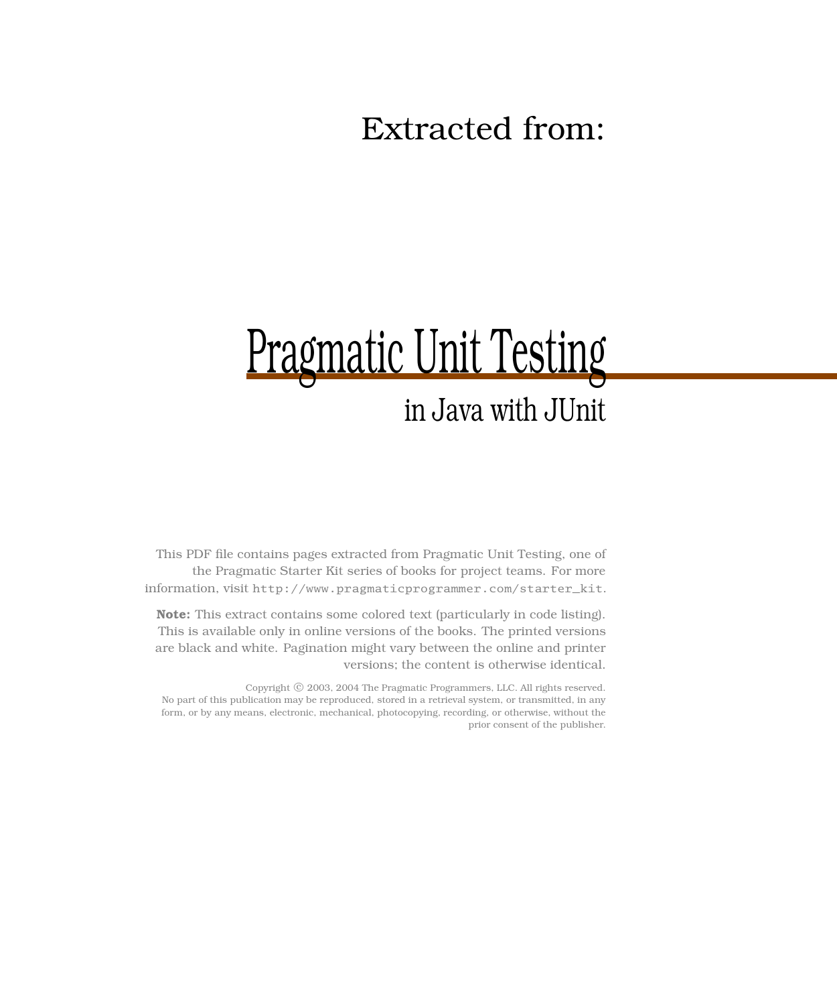### Extracted from:

Pragmatic Unit Testing in Java with JUnit

This PDF file contains pages extracted from Pragmatic Unit Testing, one of the Pragmatic Starter Kit series of books for project teams. For more information, visit http://www.pragmaticprogrammer.com/starter\_kit.

Note: This extract contains some colored text (particularly in code listing). This is available only in online versions of the books. The printed versions are black and white. Pagination might vary between the online and printer versions; the content is otherwise identical.

Copyright  $©$  2003, 2004 The Pragmatic Programmers, LLC. All rights reserved. No part of this publication may be reproduced, stored in a retrieval system, or transmitted, in any form, or by any means, electronic, mechanical, photocopying, recording, or otherwise, without the prior consent of the publisher.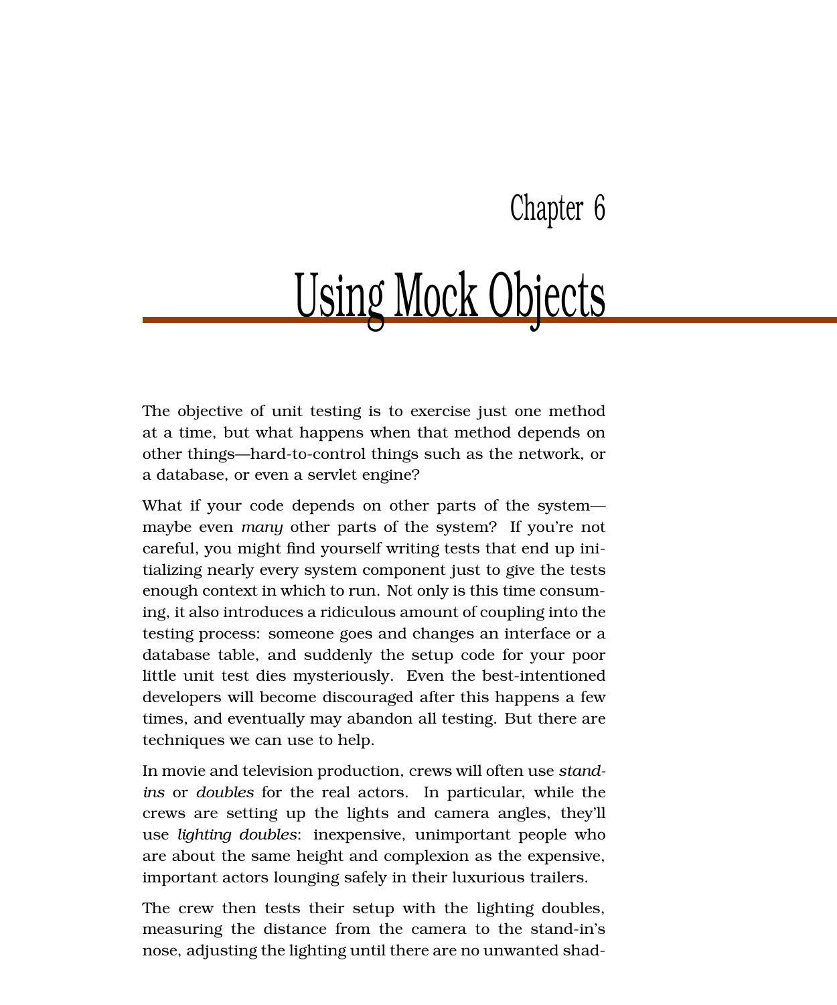## Chapter 6

# Using Mock Objects

The objective of unit testing is to exercise just one method at a time, but what happens when that method depends on other things—hard-to-control things such as the network, or a database, or even a servlet engine?

What if your code depends on other parts of the system maybe even many other parts of the system? If you're not careful, you might find yourself writing tests that end up initializing nearly every system component just to give the tests enough context in which to run. Not only is this time consuming, it also introduces a ridiculous amount of coupling into the testing process: someone goes and changes an interface or a database table, and suddenly the setup code for your poor little unit test dies mysteriously. Even the best-intentioned developers will become discouraged after this happens a few times, and eventually may abandon all testing. But there are techniques we can use to help.

In movie and television production, crews will often use standins or doubles for the real actors. In particular, while the crews are setting up the lights and camera angles, they'll use lighting doubles: inexpensive, unimportant people who are about the same height and complexion as the expensive, important actors lounging safely in their luxurious trailers.

The crew then tests their setup with the lighting doubles, measuring the distance from the camera to the stand-in's nose, adjusting the lighting until there are no unwanted shad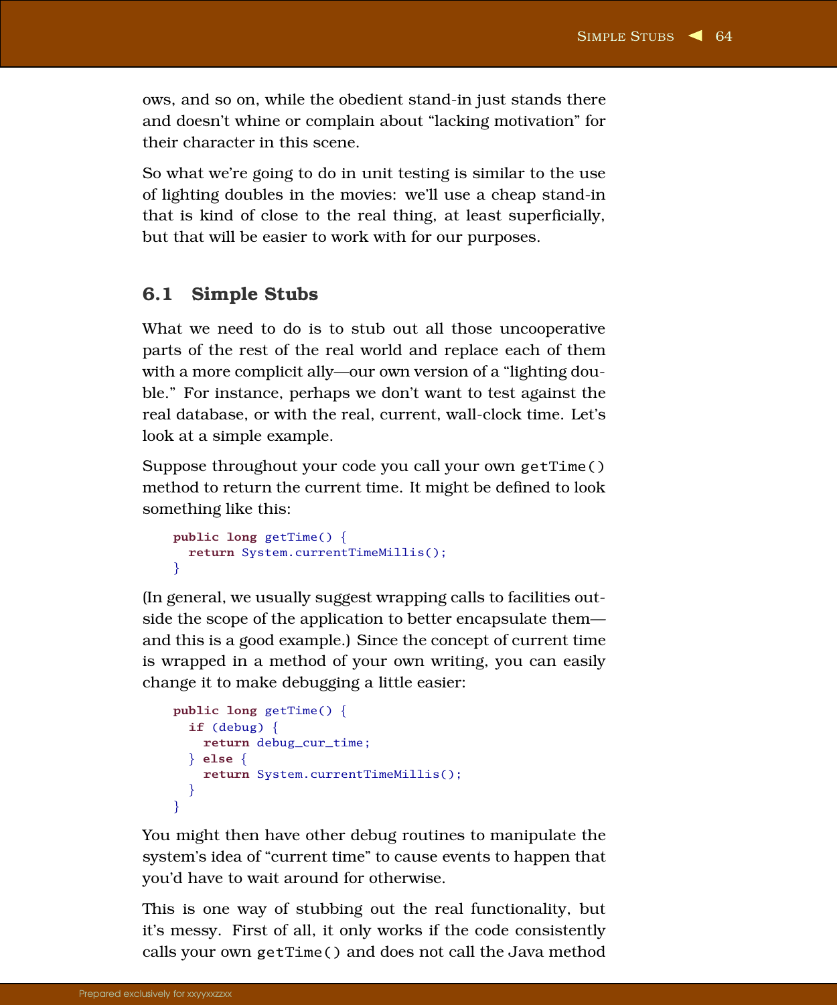ows, and so on, while the obedient stand-in just stands there and doesn't whine or complain about "lacking motivation" for their character in this scene.

So what we're going to do in unit testing is similar to the use of lighting doubles in the movies: we'll use a cheap stand-in that is kind of close to the real thing, at least superficially, but that will be easier to work with for our purposes.

#### 6.1 Simple Stubs

What we need to do is to stub out all those uncooperative parts of the rest of the real world and replace each of them with a more complicit ally—our own version of a "lighting double." For instance, perhaps we don't want to test against the real database, or with the real, current, wall-clock time. Let's look at a simple example.

Suppose throughout your code you call your own getTime() method to return the current time. It might be defined to look something like this:

```
public long getTime() {
  return System.currentTimeMillis();
}
```
(In general, we usually suggest wrapping calls to facilities outside the scope of the application to better encapsulate them and this is a good example.) Since the concept of current time is wrapped in a method of your own writing, you can easily change it to make debugging a little easier:

```
public long getTime() {
  if (debug) {
   return debug_cur_time;
  } else {
   return System.currentTimeMillis();
  }
}
```
You might then have other debug routines to manipulate the system's idea of "current time" to cause events to happen that you'd have to wait around for otherwise.

This is one way of stubbing out the real functionality, but it's messy. First of all, it only works if the code consistently calls your own getTime() and does not call the Java method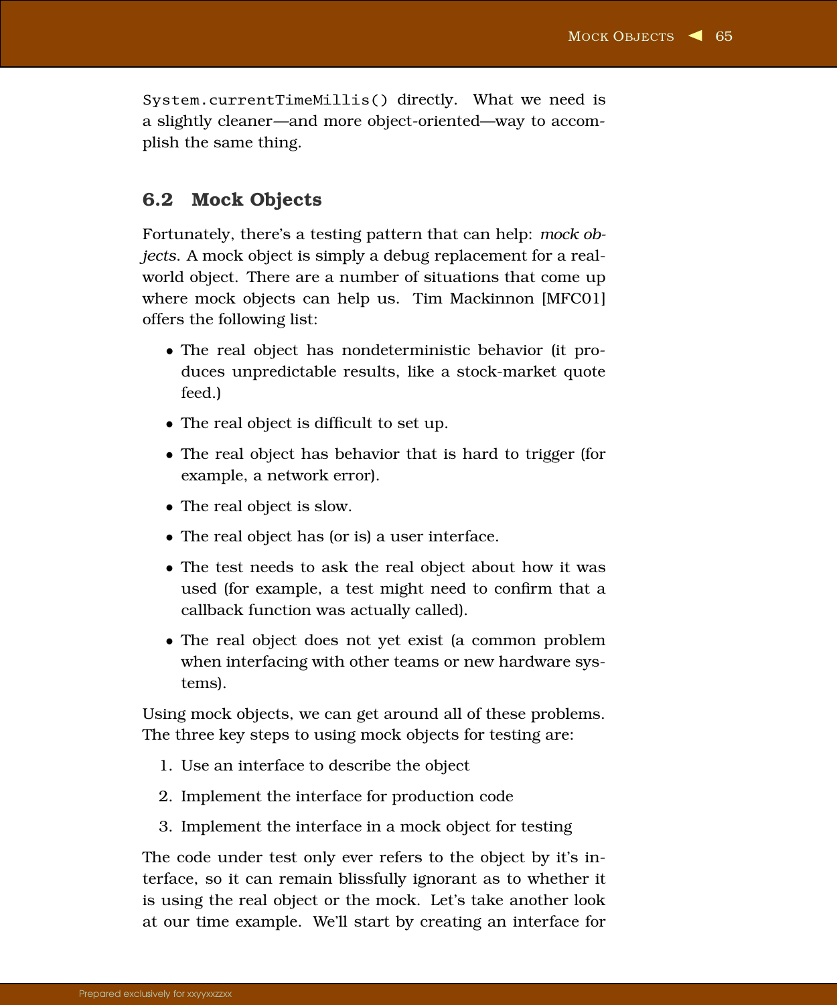System.currentTimeMillis() directly. What we need is a slightly cleaner—and more object-oriented—way to accomplish the same thing.

#### 6.2 Mock Objects

Fortunately, there's a testing pattern that can help: mock objects. A mock object is simply a debug replacement for a realworld object. There are a number of situations that come up where mock objects can help us. Tim Mackinnon [MFC01] offers the following list:

- The real object has nondeterministic behavior (it produces unpredictable results, like a stock-market quote feed.)
- The real object is difficult to set up.
- The real object has behavior that is hard to trigger (for example, a network error).
- The real object is slow.
- The real object has (or is) a user interface.
- The test needs to ask the real object about how it was used (for example, a test might need to confirm that a callback function was actually called).
- The real object does not yet exist (a common problem when interfacing with other teams or new hardware systems).

Using mock objects, we can get around all of these problems. The three key steps to using mock objects for testing are:

- 1. Use an interface to describe the object
- 2. Implement the interface for production code
- 3. Implement the interface in a mock object for testing

The code under test only ever refers to the object by it's interface, so it can remain blissfully ignorant as to whether it is using the real object or the mock. Let's take another look at our time example. We'll start by creating an interface for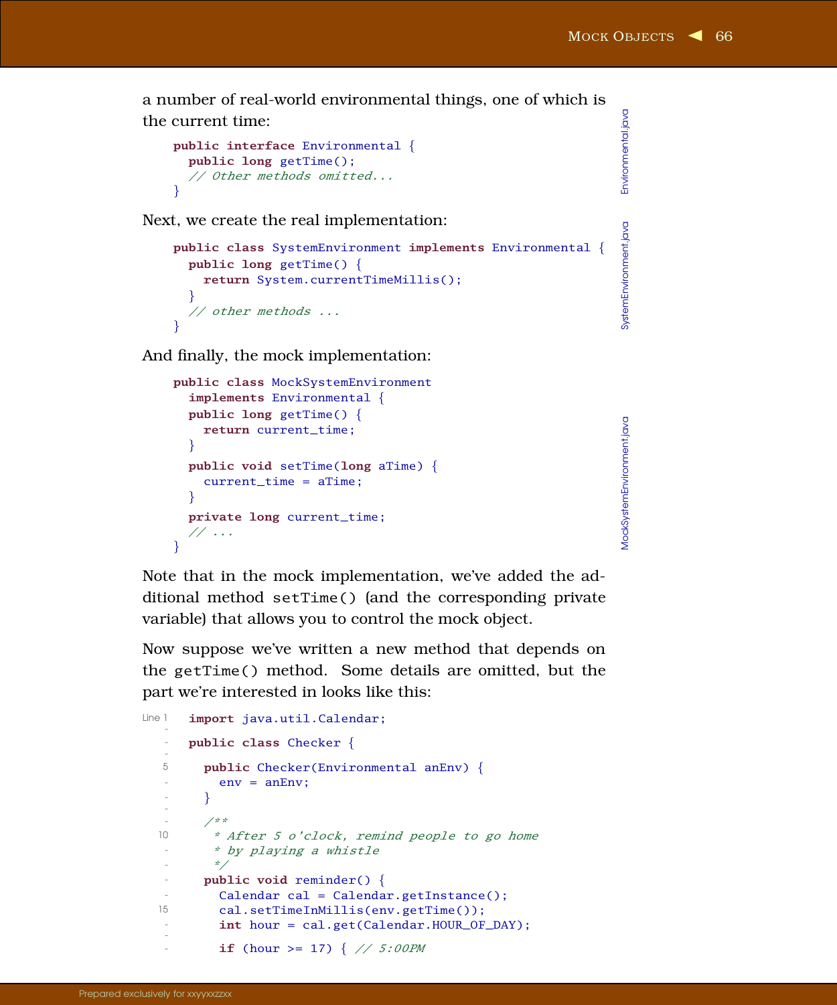Environmental.java

Environmental.java

SystemEnvironment.java

SystemEnvironment.java

MockSystemEnvironment.java

VlockSystemEnvironment.java

a number of real-world environmental things, one of which is the current time:

```
public interface Environmental {
  public long getTime();
  // Other methods omitted...
}
```
Next, we create the real implementation:

```
public class SystemEnvironment implements Environmental {
 public long getTime() {
   return System.currentTimeMillis();
  }
  // other methods ...
}
```
And finally, the mock implementation:

```
public class MockSystemEnvironment
  implements Environmental {
 public long getTime() {
   return current_time;
 }
 public void setTime(long aTime) {
   current_time = aTime;
 }
 private long current_time;
  // ...
}
```
Note that in the mock implementation, we've added the additional method setTime() (and the corresponding private variable) that allows you to control the mock object.

Now suppose we've written a new method that depends on the getTime() method. Some details are omitted, but the part we're interested in looks like this:

```
Line 1 import java.util.Calendar;
   -
     public class Checker \{-
  5 public Checker(Environmental anEnv) {
         env = anEnv;\mathcal{F}-
        /**
  10 * After 5 o'clock, remind people to go home
  - * by playing a whistle
        - */
  - public void reminder() {
        Calendar cal = Calendar.getInstance();15 cal.setTimeInMillis(env.getTime());
         int hour = cal.get(Calendar.HOUR_OF_DAY);
   -
         if (hour >= 17) { // 5:00PM
```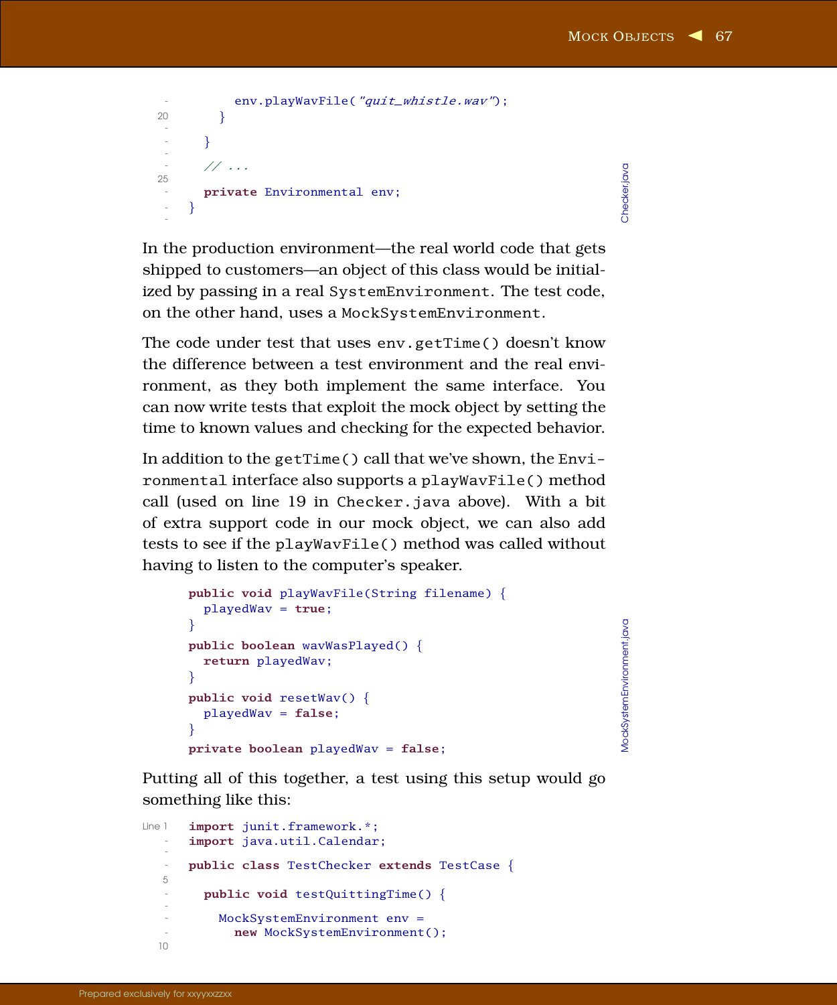Checker.java

```
env.playWavFile("quit_whistle.wav");
20 }
 -
- }
 -
      - // ...
25
- private Environmental env;
- }
 -
```
In the production environment—the real world code that gets shipped to customers—an object of this class would be initialized by passing in a real SystemEnvironment. The test code, on the other hand, uses a MockSystemEnvironment.

The code under test that uses env.getTime() doesn't know the difference between a test environment and the real environment, as they both implement the same interface. You can now write tests that exploit the mock object by setting the time to known values and checking for the expected behavior.

In addition to the getTime() call that we've shown, the Environmental interface also supports a playWavFile() method call (used on line 19 in Checker.java above). With a bit of extra support code in our mock object, we can also add tests to see if the playWavFile() method was called without having to listen to the computer's speaker.

```
public void playWavFile(String filename) {
  playedWav = true;
}
public boolean wavWasPlayed() {
  return playedWav;
}
public void resetWav() {
  playedWav = false;
}
private boolean playedWav = false;
```
Putting all of this together, a test using this setup would go something like this:

```
Line 1 import junit.framework.*;
      import java.util.Calendar;
   -
     public class TestChecker extends TestCase {
  5
       public void testQuittingTime() {
   -
         - MockSystemEnvironment env =
  - new MockSystemEnvironment();
  10
```
**MockSystemEnvironment.java** MockSystemEnvironment.java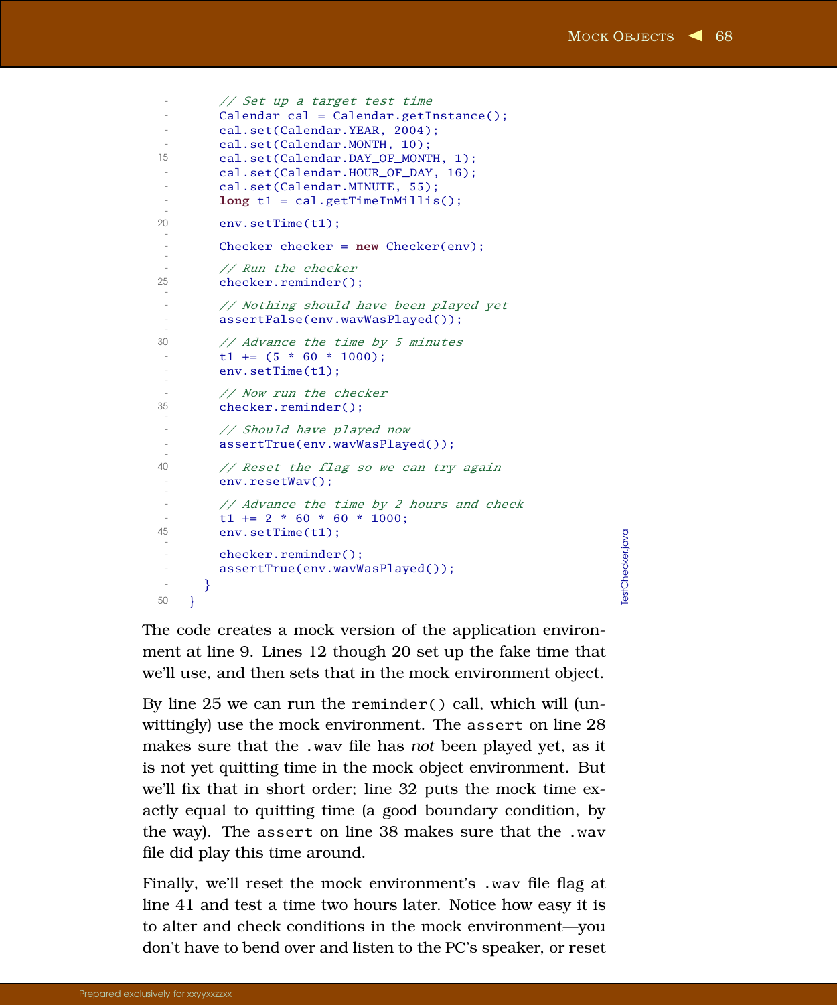TestChecker.java

estChecker.java

```
- // Set up a target test time
- Calendar cal = Calendar.getInstance();
- cal.set(Calendar.YEAR, 2004);
 - cal.set(Calendar.MONTH, 10);
15 cal.set(Calendar.DAY_OF_MONTH, 1);
 - cal.set(Calendar.HOUR_OF_DAY, 16);
 - cal.set(Calendar.MINUTE, 55);
 - long t1 = cal.getTimeInMillis();
 -
20 env.setTime(t1);
 -
      Checker <b>checker</b> = new <b>Checker</b>(env);-
       - // Run the checker
25 checker.reminder();
 -
      - // Nothing should have been played yet
- assertFalse(env.wavWasPlayed());
 -
30 // Advance the time by 5 minutes
t1 \div (5 * 60 * 1000);- env.setTime(t1);
-
 - // Now run the checker
35 checker.reminder();
-
- // Should have played now
- assertTrue(env.wavWasPlayed());
 -
40 // Reset the flag so we can try again
 - env.resetWav();
-
 - // Advance the time by 2 hours and check
 - t1 += 2 * 60 * 60 * 1000;
45 env.setTime(t1);
 -
- checker.reminder();
- assertTrue(env.wavWasPlayed());
- }
50 }
```
The code creates a mock version of the application environment at line 9. Lines 12 though 20 set up the fake time that we'll use, and then sets that in the mock environment object.

By line 25 we can run the reminder() call, which will (unwittingly) use the mock environment. The assert on line 28 makes sure that the .wav file has not been played yet, as it is not yet quitting time in the mock object environment. But we'll fix that in short order; line 32 puts the mock time exactly equal to quitting time (a good boundary condition, by the way). The assert on line 38 makes sure that the .wav file did play this time around.

Finally, we'll reset the mock environment's .wav file flag at line 41 and test a time two hours later. Notice how easy it is to alter and check conditions in the mock environment—you don't have to bend over and listen to the PC's speaker, or reset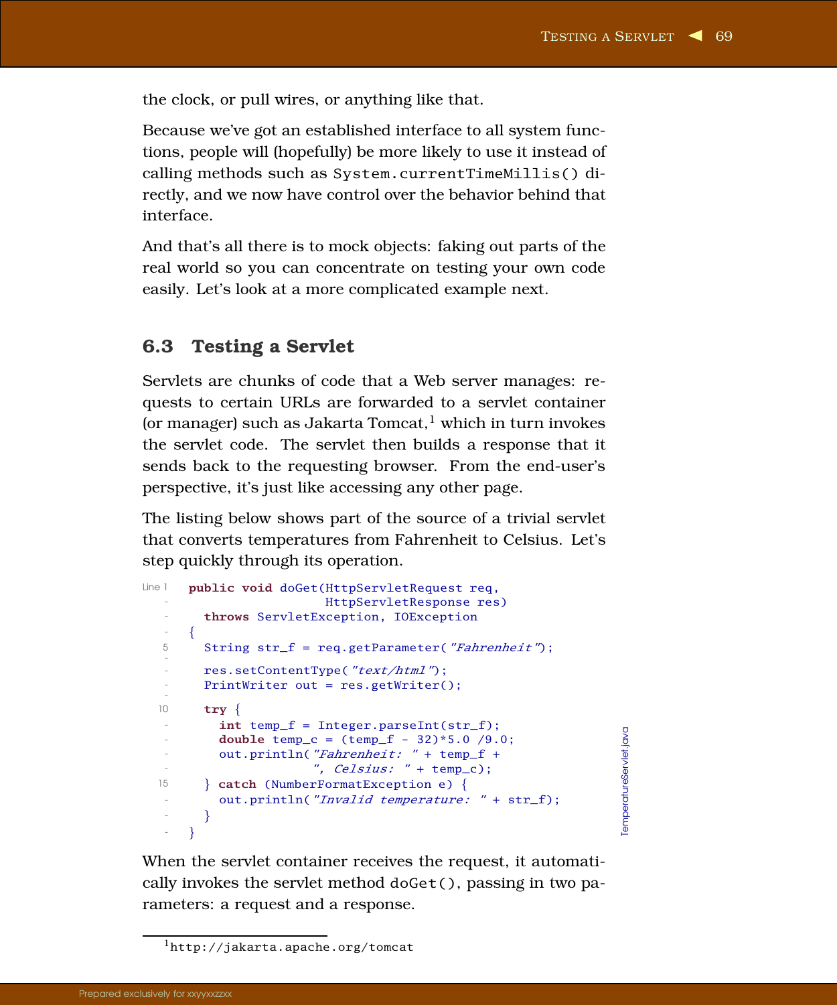TemperatureServlet.java

emperatureServlet.javo

the clock, or pull wires, or anything like that.

Because we've got an established interface to all system functions, people will (hopefully) be more likely to use it instead of calling methods such as System.currentTimeMillis() directly, and we now have control over the behavior behind that interface.

And that's all there is to mock objects: faking out parts of the real world so you can concentrate on testing your own code easily. Let's look at a more complicated example next.

#### 6.3 Testing a Servlet

Servlets are chunks of code that a Web server manages: requests to certain URLs are forwarded to a servlet container (or manager) such as Jakarta Tomcat, $1$  which in turn invokes the servlet code. The servlet then builds a response that it sends back to the requesting browser. From the end-user's perspective, it's just like accessing any other page.

The listing below shows part of the source of a trivial servlet that converts temperatures from Fahrenheit to Celsius. Let's step quickly through its operation.

```
Line 1 public void doGet(HttpServletRequest req,
                      - HttpServletResponse res)
  - throws ServletException, IOException
  - {
  5 String str_f = req.getParameter("Fahrenheit");
   -
      res.setContentType("text/html");
  - PrintWriter out = res.getWriter();
   -
  10 try {
  - int temp_f = Integer.parseInt(str_f);
  \frac{1}{2} double temp_c = (temp_f - 32)*5.0 /9.0;
       out.println("Fahrenheit: " + temp_f +
                     ", Celsius: " + temp_c);15 } catch (NumberFormatException e) {
  - out.println("Invalid temperature: " + str_f);
  - }
  - }
```
When the servlet container receives the request, it automatically invokes the servlet method doGet(), passing in two parameters: a request and a response.

<sup>&</sup>lt;sup>1</sup>http://jakarta.apache.org/tomcat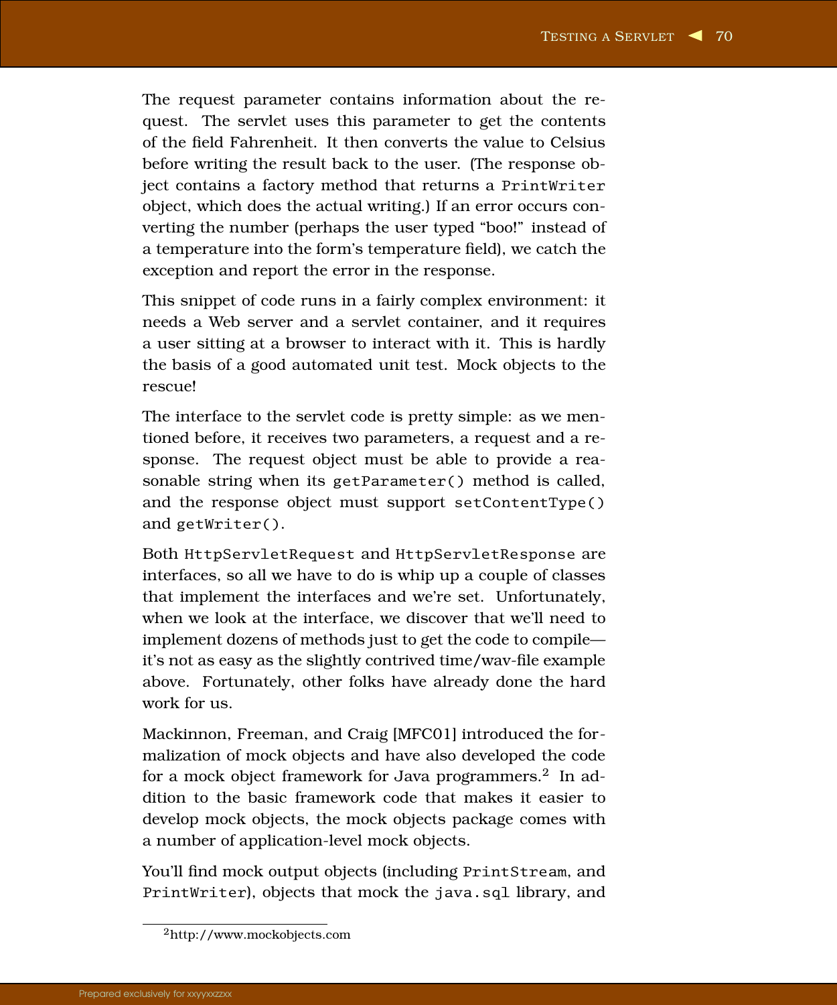The request parameter contains information about the request. The servlet uses this parameter to get the contents of the field Fahrenheit. It then converts the value to Celsius before writing the result back to the user. (The response object contains a factory method that returns a PrintWriter object, which does the actual writing.) If an error occurs converting the number (perhaps the user typed "boo!" instead of a temperature into the form's temperature field), we catch the exception and report the error in the response.

This snippet of code runs in a fairly complex environment: it needs a Web server and a servlet container, and it requires a user sitting at a browser to interact with it. This is hardly the basis of a good automated unit test. Mock objects to the rescue!

The interface to the servlet code is pretty simple: as we mentioned before, it receives two parameters, a request and a response. The request object must be able to provide a reasonable string when its getParameter() method is called, and the response object must support setContentType() and getWriter().

Both HttpServletRequest and HttpServletResponse are interfaces, so all we have to do is whip up a couple of classes that implement the interfaces and we're set. Unfortunately, when we look at the interface, we discover that we'll need to implement dozens of methods just to get the code to compile it's not as easy as the slightly contrived time/wav-file example above. Fortunately, other folks have already done the hard work for us.

Mackinnon, Freeman, and Craig [MFC01] introduced the formalization of mock objects and have also developed the code for a mock object framework for Java programmers.<sup>2</sup> In addition to the basic framework code that makes it easier to develop mock objects, the mock objects package comes with a number of application-level mock objects.

You'll find mock output objects (including PrintStream, and PrintWriter), objects that mock the java.sql library, and

<sup>2</sup>http://www.mockobjects.com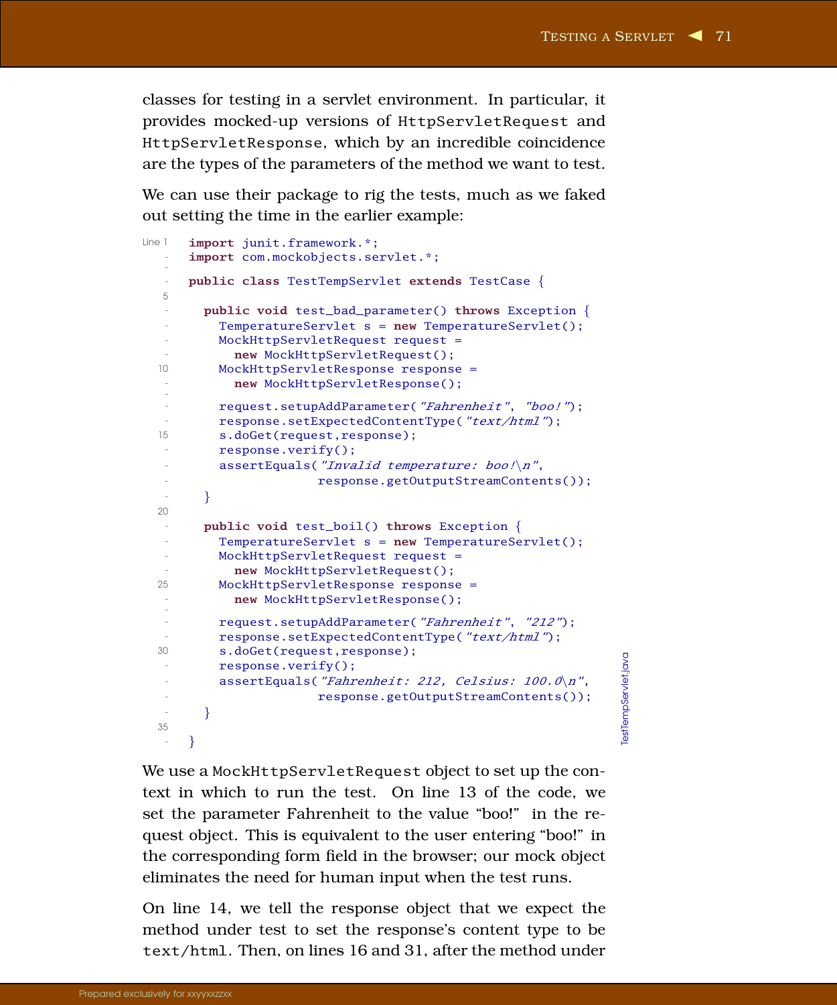TestTempServlet.java

estTempServlet.java

classes for testing in a servlet environment. In particular, it provides mocked-up versions of HttpServletRequest and HttpServletResponse, which by an incredible coincidence are the types of the parameters of the method we want to test.

We can use their package to rig the tests, much as we faked out setting the time in the earlier example:

```
Line 1 import junit.framework.*;
     import com.mockobjects.servlet.*;
  -
     public class TestTempServlet extends TestCase {
  5
  - public void test_bad_parameter() throws Exception {
  - TemperatureServlet s = new TemperatureServlet();
  - MockHttpServletRequest request =
          new MockHttpServletRequest();
 10 MockHttpServletResponse response =
  - new MockHttpServletResponse();
  -
       request.setupAddParameter("Fahrenheit", "boo!");
  - response.setExpectedContentType("text/html");
 15 s.doGet(request,response);
       response.verify();
         assertEquals('Invalid temperature: bool)\n^n,
  - response.getOutputStreamContents());
  - }
 20
  - public void test_boil() throws Exception {
  - TemperatureServlet s = new TemperatureServlet();
  - MockHttpServletRequest request =
  - new MockHttpServletRequest();
 25 MockHttpServletResponse response =
          new MockHttpServletResponse();
  -
  - request.setupAddParameter("Fahrenheit", "212");
       response.setExpectedContentType("text/html");
 30 s.doGet(request,response);
  - response.verify();
         assertEquals("Fahrenheit: 212, Celsius: 100.\Diamondn",
  - response.getOutputStreamContents());
  - }
 35
     \mathcal{F}
```
We use a MockHttpServletRequest object to set up the context in which to run the test. On line 13 of the code, we set the parameter Fahrenheit to the value "boo!" in the request object. This is equivalent to the user entering "boo!" in the corresponding form field in the browser; our mock object eliminates the need for human input when the test runs.

On line 14, we tell the response object that we expect the method under test to set the response's content type to be text/html. Then, on lines 16 and 31, after the method under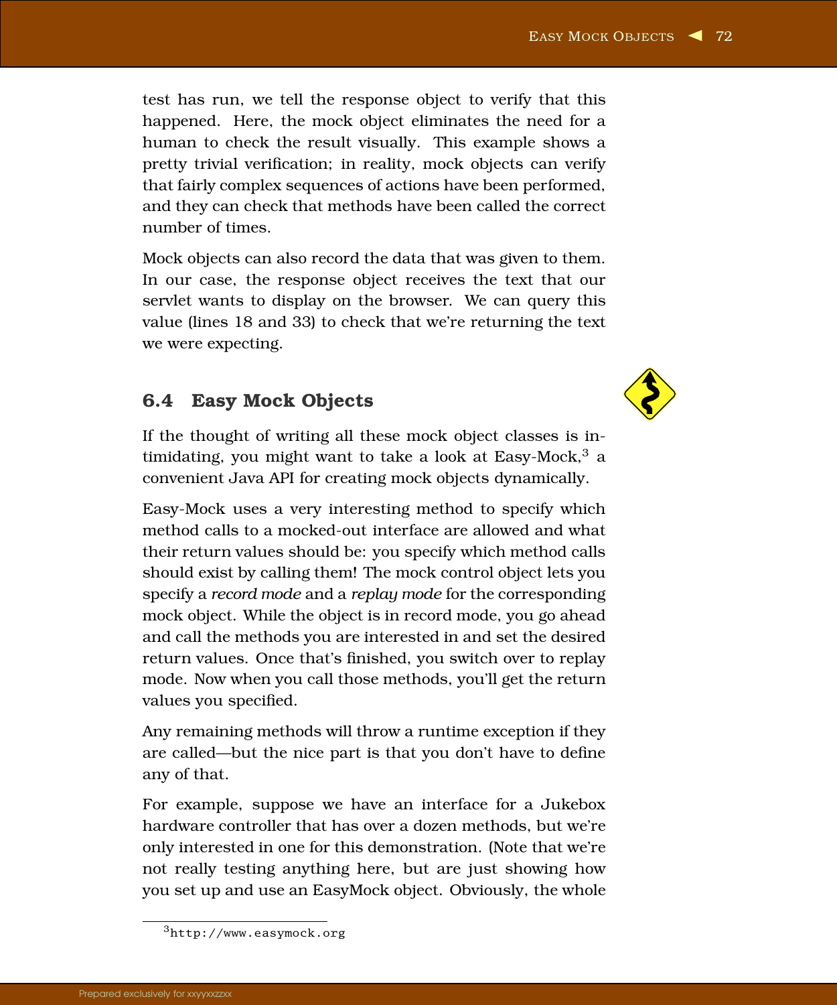test has run, we tell the response object to verify that this happened. Here, the mock object eliminates the need for a human to check the result visually. This example shows a pretty trivial verification; in reality, mock objects can verify that fairly complex sequences of actions have been performed, and they can check that methods have been called the correct number of times.

Mock objects can also record the data that was given to them. In our case, the response object receives the text that our servlet wants to display on the browser. We can query this value (lines 18 and 33) to check that we're returning the text we were expecting.

#### 6.4 Easy Mock Objects

If the thought of writing all these mock object classes is intimidating, you might want to take a look at Easy-Mock, $3$  a convenient Java API for creating mock objects dynamically.

Easy-Mock uses a very interesting method to specify which method calls to a mocked-out interface are allowed and what their return values should be: you specify which method calls should exist by calling them! The mock control object lets you specify a record mode and a replay mode for the corresponding mock object. While the object is in record mode, you go ahead and call the methods you are interested in and set the desired return values. Once that's finished, you switch over to replay mode. Now when you call those methods, you'll get the return values you specified.

Any remaining methods will throw a runtime exception if they are called—but the nice part is that you don't have to define any of that.

For example, suppose we have an interface for a Jukebox hardware controller that has over a dozen methods, but we're only interested in one for this demonstration. (Note that we're not really testing anything here, but are just showing how you set up and use an EasyMock object. Obviously, the whole



 $3$ http://www.easymock.org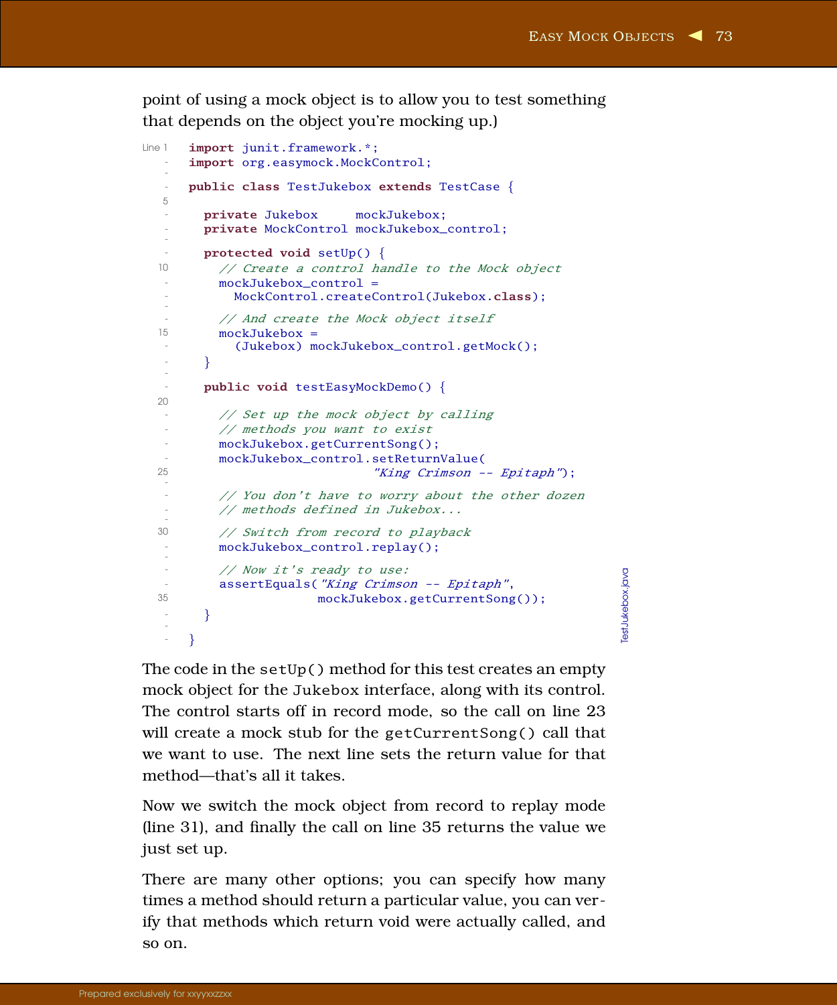TestJukebox.java

estJukebox.java

point of using a mock object is to allow you to test something that depends on the object you're mocking up.)

```
Line 1 import junit.framework.*;
     import org.easymock.MockControl;
  -
    - public class TestJukebox extends TestCase {
  5
     private Jukebox mockJukebox;
     - private MockControl mockJukebox_control;
  -
  - protected void setUp() {
 10 // Create a control handle to the Mock object
  - mockJukebox_control =
  - MockControl.createControl(Jukebox.class);
  -
  - // And create the Mock object itself
  15 mockJukebox =
  - (Jukebox) mockJukebox_control.getMock();
  - }
  -
  - public void testEasyMockDemo() {
 20
  - // Set up the mock object by calling
  - // methods you want to exist
  - mockJukebox.getCurrentSong();
  - mockJukebox_control.setReturnValue(
 <sup>25</sup> "King Crimson -- Epitaph");
  -
  - // You don't have to worry about the other dozen
  - // methods defined in Jukebox...
  -
 30 // Switch from record to playback
  - mockJukebox_control.replay();
  -
       - // Now it's ready to use:
  - assertEquals("King Crimson -- Epitaph",
 35 mockJukebox.getCurrentSong());
  - }
  -
  - }
```
The code in the setUp() method for this test creates an empty mock object for the Jukebox interface, along with its control. The control starts off in record mode, so the call on line 23 will create a mock stub for the getCurrentSong() call that we want to use. The next line sets the return value for that method—that's all it takes.

Now we switch the mock object from record to replay mode (line 31), and finally the call on line 35 returns the value we just set up.

There are many other options; you can specify how many times a method should return a particular value, you can verify that methods which return void were actually called, and so on.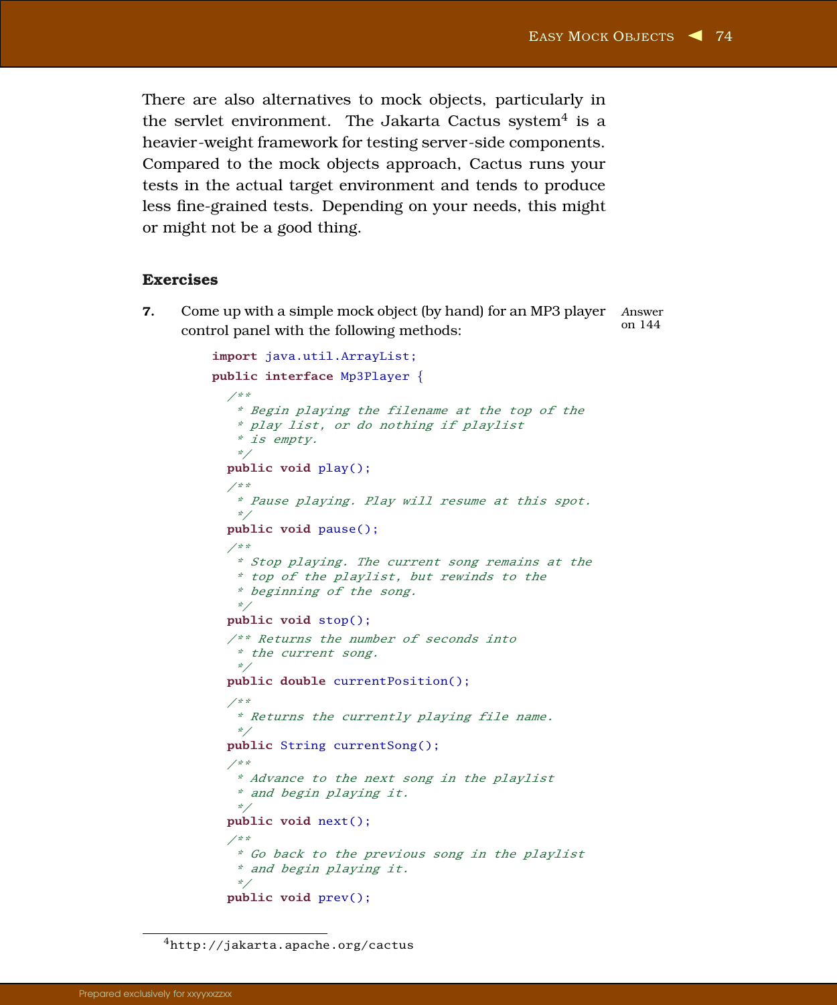There are also alternatives to mock objects, particularly in the servlet environment. The Jakarta Cactus system $4$  is a heavier-weight framework for testing server-side components. Compared to the mock objects approach, Cactus runs your tests in the actual target environment and tends to produce less fine-grained tests. Depending on your needs, this might or might not be a good thing.

#### Exercises

7. Come up with a simple mock object (by hand) for an MP3 player Answer control panel with the following methods:

```
import java.util.ArrayList;
public interface Mp3Player {
  /**
   * Begin playing the filename at the top of the
   * play list, or do nothing if playlist
   * is empty.
   */
  public void play();
  /**
   * Pause playing. Play will resume at this spot.
   */
  public void pause();
  /**
   * Stop playing. The current song remains at the
   * top of the playlist, but rewinds to the
   * beginning of the song.
   */
  public void stop();
  /** Returns the number of seconds into
   * the current song.
   */
  public double currentPosition();
  /**
   * Returns the currently playing file name.
   */
  public String currentSong();
  /**
   * Advance to the next song in the playlist
   * and begin playing it.
   */
  public void next();
  /**
   * Go back to the previous song in the playlist
   * and begin playing it.
   */
  public void prev();
```
<sup>4</sup>http://jakarta.apache.org/cactus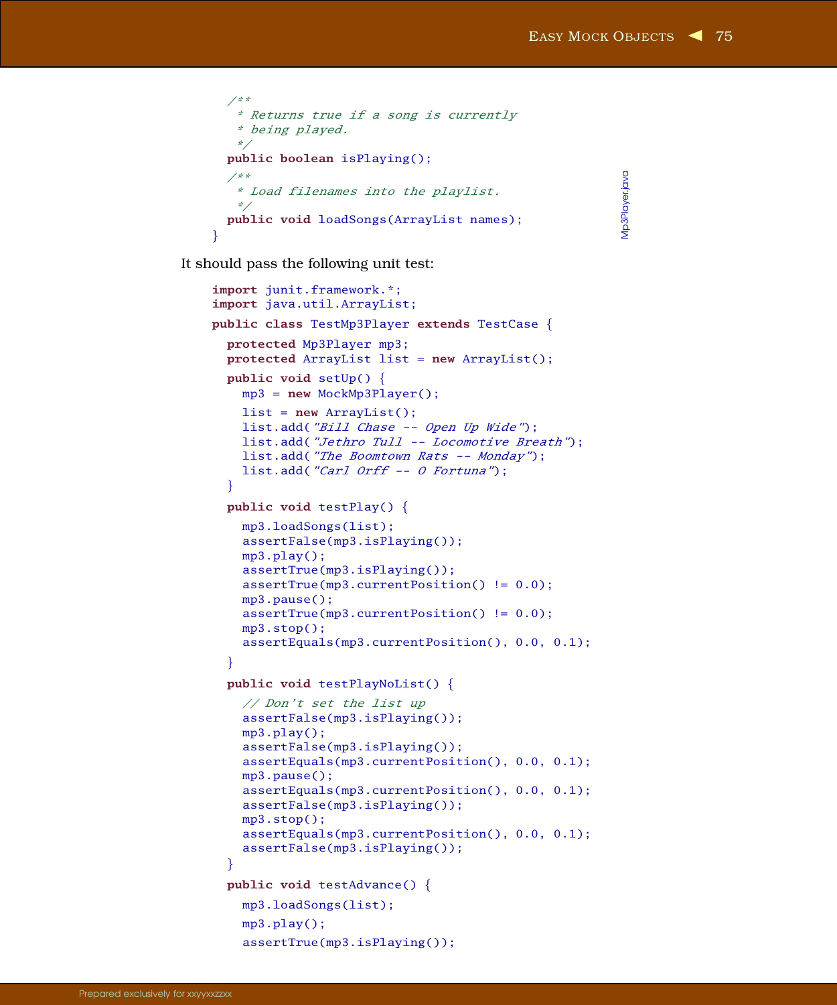Mp3Player.java

Mp3Player.java

```
/**
   * Returns true if a song is currently
   * being played.
   */
 public boolean isPlaying();
  /**
   * Load filenames into the playlist.
   */
 public void loadSongs(ArrayList names);
}
```
It should pass the following unit test:

```
import junit.framework.*;
import java.util.ArrayList;
public class TestMp3Player extends TestCase {
 protected Mp3Player mp3;
 protected ArrayList list = new ArrayList();
 public void setUp() {
   mp3 = new MockMp3Player();
   list = new ArrayList();
   list.add("Bill Chase -- Open Up Wide");
   list.add("Jethro Tull -- Locomotive Breath");
   list.add("The Boomtown Rats -- Monday");
   list.add("Carl Orff -- O Fortuna");
 }
 public void testPlay() {
   mp3.loadSongs(list);
    assertFalse(mp3.isPlaying());
   mp3.play();
    assertTrue(mp3.isPlaying());
    assertTrue(mp3.currentPosition() != 0.0);
   mp3.pause();
    assertTrue(mp3.currentPosition() != 0.0);
   mp3.stop();
    assertEquals(mp3.currentPosition(), 0.0, 0.1);
  }
 public void testPlayNoList() {
    // Don't set the list up
    assertFalse(mp3.isPlaying());
   mp3.play();
   assertFalse(mp3.isPlaying());
    assertEquals(mp3.currentPosition(), 0.0, 0.1);
   mp3.pause();
    assertEquals(mp3.currentPosition(), 0.0, 0.1);
   assertFalse(mp3.isPlaying());
   mp3.stop();
   assertEquals(mp3.currentPosition(), 0.0, 0.1);
    assertFalse(mp3.isPlaying());
  }
 public void testAdvance() {
    mp3.loadSongs(list);
   mp3.play();
    assertTrue(mp3.isPlaying());
```